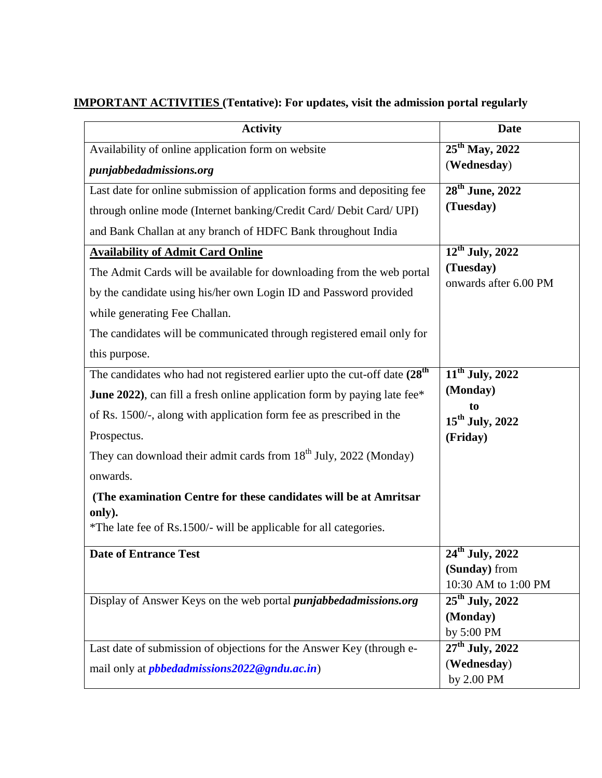## **IMPORTANT ACTIVITIES (Tentative): For updates, visit the admission portal regularly**

| <b>Activity</b>                                                                         | <b>Date</b>                              |
|-----------------------------------------------------------------------------------------|------------------------------------------|
| Availability of online application form on website                                      | $25^{th}$ May, 2022                      |
| punjabbedadmissions.org                                                                 | (Wednesday)                              |
| Last date for online submission of application forms and depositing fee                 | 28 <sup>th</sup> June, 2022              |
| through online mode (Internet banking/Credit Card/ Debit Card/ UPI)                     | (Tuesday)                                |
| and Bank Challan at any branch of HDFC Bank throughout India                            |                                          |
| <b>Availability of Admit Card Online</b>                                                | $12^{th}$ July, 2022                     |
| The Admit Cards will be available for downloading from the web portal                   | (Tuesday)                                |
| by the candidate using his/her own Login ID and Password provided                       | onwards after 6.00 PM                    |
| while generating Fee Challan.                                                           |                                          |
| The candidates will be communicated through registered email only for                   |                                          |
| this purpose.                                                                           |                                          |
| The candidates who had not registered earlier upto the cut-off date (28 <sup>th</sup> ) | $11^{th}$ July, 2022                     |
| <b>June 2022</b> ), can fill a fresh online application form by paying late fee*        | (Monday)                                 |
| of Rs. 1500/-, along with application form fee as prescribed in the                     | to                                       |
| Prospectus.                                                                             | $15^{th}$ July, 2022<br>(Friday)         |
| They can download their admit cards from 18 <sup>th</sup> July, 2022 (Monday)           |                                          |
| onwards.                                                                                |                                          |
| (The examination Centre for these candidates will be at Amritsar                        |                                          |
| only).                                                                                  |                                          |
| *The late fee of Rs.1500/- will be applicable for all categories.                       |                                          |
| <b>Date of Entrance Test</b>                                                            | $\overline{24}$ <sup>th</sup> July, 2022 |
|                                                                                         | (Sunday) from                            |
|                                                                                         | 10:30 AM to 1:00 PM                      |
| Display of Answer Keys on the web portal <i>punjabbedadmissions.org</i>                 | $25th$ July, 2022                        |
|                                                                                         | (Monday)                                 |
|                                                                                         | by 5:00 PM                               |
| Last date of submission of objections for the Answer Key (through e-                    | $27th$ July, 2022                        |
| mail only at <i>pbbedadmissions</i> 2022@gndu.ac.in)                                    | (Wednesday)                              |
|                                                                                         | by 2.00 PM                               |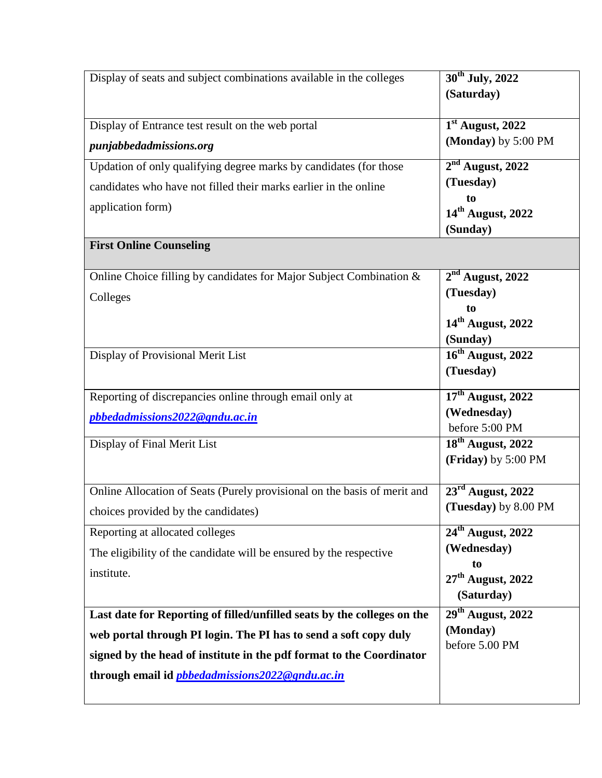| Display of seats and subject combinations available in the colleges      | 30 <sup>th</sup> July, 2022         |
|--------------------------------------------------------------------------|-------------------------------------|
|                                                                          | (Saturday)                          |
| Display of Entrance test result on the web portal                        | $1st$ August, 2022                  |
| punjabbedadmissions.org                                                  | (Monday) by 5:00 PM                 |
| Updation of only qualifying degree marks by candidates (for those        | $2nd$ August, 2022                  |
| candidates who have not filled their marks earlier in the online         | (Tuesday)                           |
| application form)                                                        | to<br>14 <sup>th</sup> August, 2022 |
|                                                                          | (Sunday)                            |
| <b>First Online Counseling</b>                                           |                                     |
|                                                                          |                                     |
| Online Choice filling by candidates for Major Subject Combination &      | $2nd$ August, 2022                  |
| Colleges                                                                 | (Tuesday)                           |
|                                                                          | to                                  |
|                                                                          | $14th$ August, 2022                 |
| Display of Provisional Merit List                                        | (Sunday)<br>$16th$ August, 2022     |
|                                                                          | (Tuesday)                           |
|                                                                          |                                     |
| Reporting of discrepancies online through email only at                  | $17th$ August, 2022                 |
| pbbedadmissions2022@gndu.ac.in                                           | (Wednesday)<br>before 5:00 PM       |
| Display of Final Merit List                                              | $18th$ August, 2022                 |
|                                                                          | (Friday) by 5:00 PM                 |
|                                                                          |                                     |
| Online Allocation of Seats (Purely provisional on the basis of merit and | $23rd$ August, 2022                 |
| choices provided by the candidates)                                      | (Tuesday) by 8.00 PM                |
| Reporting at allocated colleges                                          | $24th$ August, 2022                 |
| The eligibility of the candidate will be ensured by the respective       | (Wednesday)                         |
| institute.                                                               | to<br>$27th$ August, 2022           |
|                                                                          | (Saturday)                          |
| Last date for Reporting of filled/unfilled seats by the colleges on the  | $29th$ August, 2022                 |
| web portal through PI login. The PI has to send a soft copy duly         | (Monday)<br>before 5.00 PM          |
| signed by the head of institute in the pdf format to the Coordinator     |                                     |
| through email id <i>pbbedadmissions2022@gndu.ac.in</i>                   |                                     |
|                                                                          |                                     |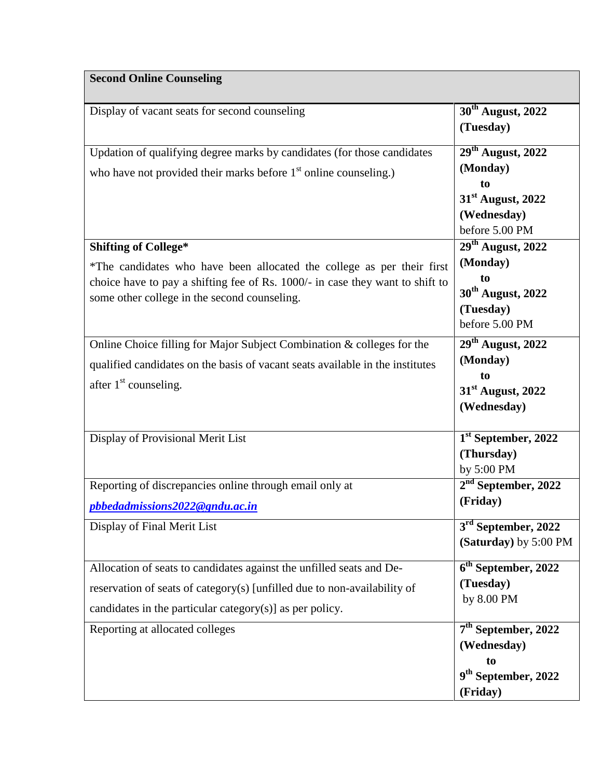## **Second Online Counseling**

| Display of vacant seats for second counseling                                                                                 | 30 <sup>th</sup> August, 2022<br>(Tuesday) |
|-------------------------------------------------------------------------------------------------------------------------------|--------------------------------------------|
| Updation of qualifying degree marks by candidates (for those candidates                                                       | $29th$ August, 2022                        |
| who have not provided their marks before $1st$ online counseling.)                                                            | (Monday)                                   |
|                                                                                                                               | to                                         |
|                                                                                                                               | $31st$ August, 2022                        |
|                                                                                                                               | (Wednesday)                                |
| <b>Shifting of College*</b>                                                                                                   | before 5.00 PM<br>$29th$ August, 2022      |
|                                                                                                                               | (Monday)                                   |
| *The candidates who have been allocated the college as per their first                                                        | to                                         |
| choice have to pay a shifting fee of Rs. 1000/- in case they want to shift to<br>some other college in the second counseling. | 30 <sup>th</sup> August, 2022              |
|                                                                                                                               | (Tuesday)                                  |
|                                                                                                                               | before 5.00 PM                             |
| Online Choice filling for Major Subject Combination & colleges for the                                                        | $29th$ August, 2022                        |
| qualified candidates on the basis of vacant seats available in the institutes                                                 | (Monday)                                   |
| after $1st$ counseling.                                                                                                       | to                                         |
|                                                                                                                               | 31 <sup>st</sup> August, 2022              |
|                                                                                                                               | (Wednesday)                                |
| Display of Provisional Merit List                                                                                             | $1st$ September, 2022                      |
|                                                                                                                               | (Thursday)                                 |
|                                                                                                                               | by 5:00 PM                                 |
| Reporting of discrepancies online through email only at                                                                       | $2nd$ September, 2022                      |
| pbbedadmissions2022@gndu.ac.in                                                                                                | (Friday)                                   |
| Display of Final Merit List                                                                                                   | $\overline{3}^{\text{rd}}$ September, 2022 |
|                                                                                                                               | (Saturday) by 5:00 PM                      |
| Allocation of seats to candidates against the unfilled seats and De-                                                          | $6th$ September, 2022                      |
| reservation of seats of category(s) [unfilled due to non-availability of                                                      | (Tuesday)                                  |
| candidates in the particular category $(s)$ ] as per policy.                                                                  | by 8.00 PM                                 |
|                                                                                                                               |                                            |
| Reporting at allocated colleges                                                                                               | $7th$ September, 2022                      |
|                                                                                                                               | (Wednesday)<br>to                          |
|                                                                                                                               | 9 <sup>th</sup> September, 2022            |
|                                                                                                                               | (Friday)                                   |
|                                                                                                                               |                                            |